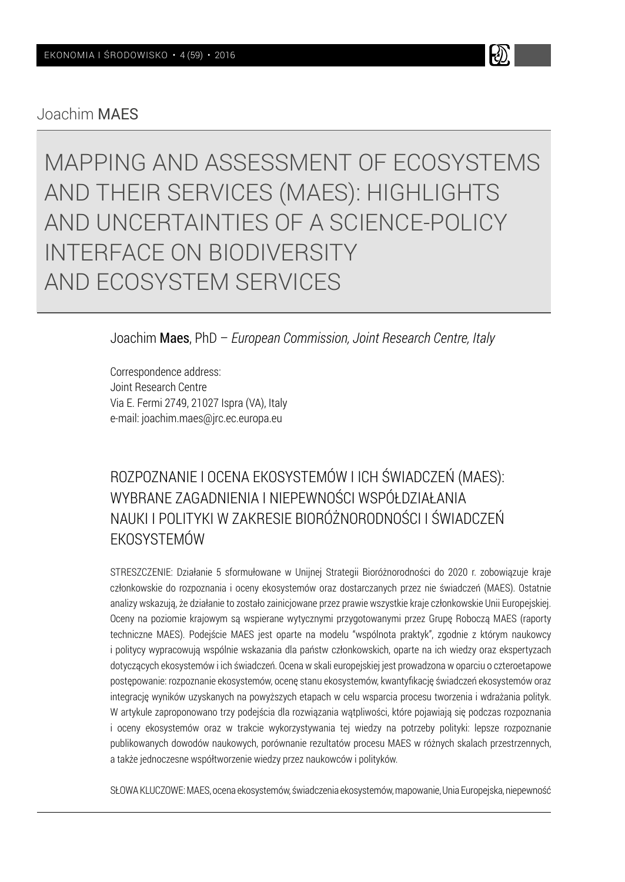Joachim MAES

MAPPING AND ASSESSMENT OF ECOSYSTEMS AND THEIR SERVICES (MAES): HIGHLIGHTS AND UNCERTAINTIES OF A SCIENCE-POLICY INTERFACE ON BIODIVERSITY AND ECOSYSTEM SERVICES

k)

Joachim Maes, PhD – *European Commission, Joint Research Centre, Italy*

Correspondence address: Joint Research Centre Via E. Fermi 2749, 21027 Ispra (VA), Italy e-mail: joachim.maes@jrc.ec.europa.eu

# ROZPOZNANIE I OCENA EKOSYSTEMÓW I ICH ŚWIADCZEŃ (MAES): WYBRANE ZAGADNIENIA I NIEPEWNOŚCI WSPÓŁDZIAŁANIA NAUKI I POLITYKI W ZAKRESIE BIORÓŻNORODNOŚCI I ŚWIADCZEŃ EKOSYSTEMÓW

STRESZCZENIE: Działanie 5 sformułowane w Unijnej Strategii Bioróżnorodności do 2020 r. zobowiązuje kraje członkowskie do rozpoznania i oceny ekosystemów oraz dostarczanych przez nie świadczeń (MAES). Ostatnie analizy wskazują, że działanie to zostało zainicjowane przez prawie wszystkie kraje członkowskie Unii Europejskiej. Oceny na poziomie krajowym są wspierane wytycznymi przygotowanymi przez Grupę Roboczą MAES (raporty techniczne MAES). Podejście MAES jest oparte na modelu "wspólnota praktyk", zgodnie z którym naukowcy i politycy wypracowują wspólnie wskazania dla państw członkowskich, oparte na ich wiedzy oraz ekspertyzach dotyczących ekosystemów i ich świadczeń. Ocena w skali europejskiej jest prowadzona w oparciu o czteroetapowe postępowanie: rozpoznanie ekosystemów, ocenę stanu ekosystemów, kwantyfikację świadczeń ekosystemów oraz integrację wyników uzyskanych na powyższych etapach w celu wsparcia procesu tworzenia i wdrażania polityk. W artykule zaproponowano trzy podejścia dla rozwiązania wątpliwości, które pojawiają się podczas rozpoznania i oceny ekosystemów oraz w trakcie wykorzystywania tej wiedzy na potrzeby polityki: lepsze rozpoznanie publikowanych dowodów naukowych, porównanie rezultatów procesu MAES w różnych skalach przestrzennych, a także jednoczesne współtworzenie wiedzy przez naukowców i polityków.

SŁOWA KLUCZOWE: MAES, ocena ekosystemów, świadczenia ekosystemów, mapowanie, Unia Europejska, niepewność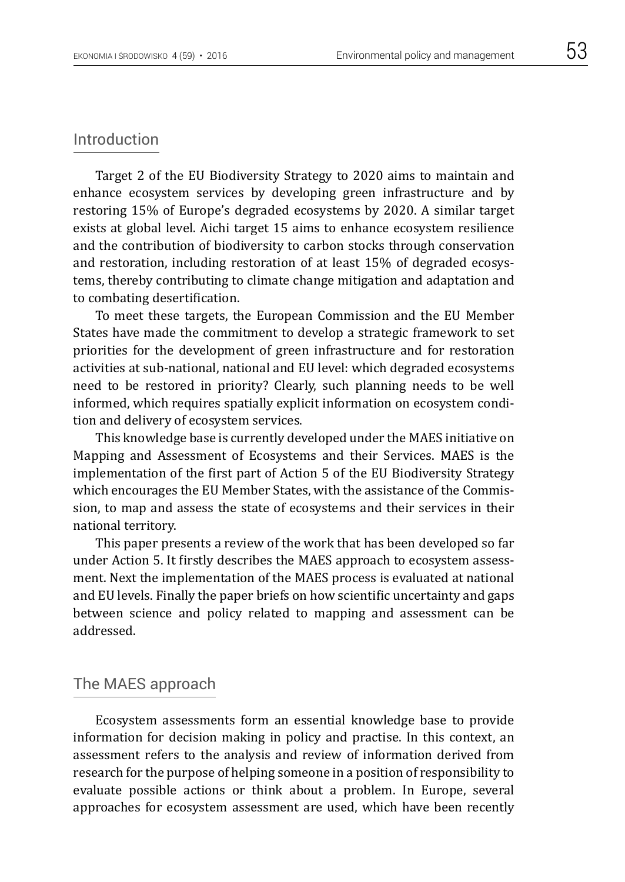## Introduction

Target 2 of the EU Biodiversity Strategy to 2020 aims to maintain and enhance ecosystem services by developing green infrastructure and by restoring 15% of Europe's degraded ecosystems by 2020. A similar target exists at global level. Aichi target 15 aims to enhance ecosystem resilience and the contribution of biodiversity to carbon stocks through conservation and restoration, including restoration of at least 15% of degraded ecosystems, thereby contributing to climate change mitigation and adaptation and to combating desertification.

To meet these targets, the European Commission and the EU Member States have made the commitment to develop a strategic framework to set priorities for the development of green infrastructure and for restoration activities at sub-national, national and EU level: which degraded ecosystems need to be restored in priority? Clearly, such planning needs to be well informed, which requires spatially explicit information on ecosystem condition and delivery of ecosystem services.

This knowledge base is currently developed under the MAES initiative on Mapping and Assessment of Ecosystems and their Services. MAES is the implementation of the first part of Action 5 of the EU Biodiversity Strategy which encourages the EU Member States, with the assistance of the Commission, to map and assess the state of ecosystems and their services in their national territory.

This paper presents a review of the work that has been developed so far under Action 5. It firstly describes the MAES approach to ecosystem assessment. Next the implementation of the MAES process is evaluated at national and EU levels. Finally the paper briefs on how scientific uncertainty and gaps between science and policy related to mapping and assessment can be addressed.

## The MAES approach

Ecosystem assessments form an essential knowledge base to provide information for decision making in policy and practise. In this context, an assessment refers to the analysis and review of information derived from research for the purpose of helping someone in a position of responsibility to evaluate possible actions or think about a problem. In Europe, several approaches for ecosystem assessment are used, which have been recently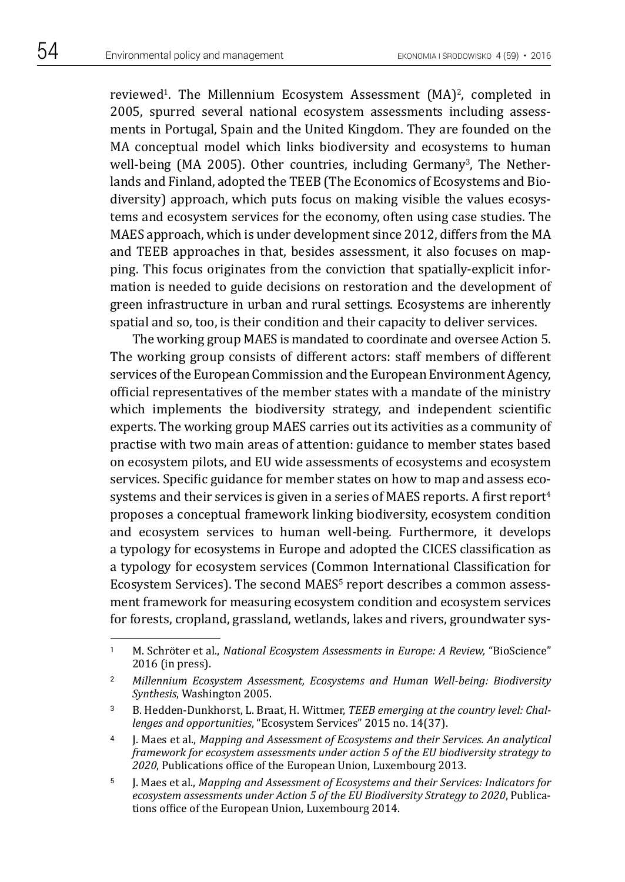reviewed<sup>1</sup>. The Millennium Ecosystem Assessment (MA)<sup>2</sup>, completed in 2005, spurred several national ecosystem assessments including assessments in Portugal, Spain and the United Kingdom. They are founded on the MA conceptual model which links biodiversity and ecosystems to human well-being (MA 2005). Other countries, including Germany<sup>3</sup>, The Netherlands and Finland, adopted the TEEB (The Economics of Ecosystems and Biodiversity) approach, which puts focus on making visible the values ecosystems and ecosystem services for the economy, often using case studies. The MAES approach, which is under development since 2012, differs from the MA and TEEB approaches in that, besides assessment, it also focuses on mapping. This focus originates from the conviction that spatially-explicit information is needed to guide decisions on restoration and the development of green infrastructure in urban and rural settings. Ecosystems are inherently spatial and so, too, is their condition and their capacity to deliver services.

The working group MAES is mandated to coordinate and oversee Action 5. The working group consists of different actors: staff members of different services of the European Commission and the European Environment Agency, official representatives of the member states with a mandate of the ministry which implements the biodiversity strategy, and independent scientific experts. The working group MAES carries out its activities as a community of practise with two main areas of attention: guidance to member states based on ecosystem pilots, and EU wide assessments of ecosystems and ecosystem services. Specific guidance for member states on how to map and assess ecosystems and their services is given in a series of MAES reports. A first report<sup>4</sup> proposes a conceptual framework linking biodiversity, ecosystem condition and ecosystem services to human well-being. Furthermore, it develops a typology for ecosystems in Europe and adopted the CICES classification as a typology for ecosystem services (Common International Classification for Ecosystem Services). The second MAES<sup>5</sup> report describes a common assessment framework for measuring ecosystem condition and ecosystem services for forests, cropland, grassland, wetlands, lakes and rivers, groundwater sys-

<sup>1</sup> M. Schröter et al., *National Ecosystem Assessments in Europe: A Review,* "BioScience" 2016 (in press).

<sup>2</sup> *Millennium Ecosystem Assessment, Ecosystems and Human Well-being: Biodiversity Synthesis*, Washington 2005.

<sup>3</sup> B. Hedden-Dunkhorst, L. Braat, H. Wittmer, *TEEB emerging at the country level: Challenges and opportunities*, "Ecosystem Services" 2015 no. 14(37).

<sup>4</sup> J. Maes et al., *Mapping and Assessment of Ecosystems and their Services. An analytical framework for ecosystem assessments under action 5 of the EU biodiversity strategy to 2020*, Publications office of the European Union, Luxembourg 2013.

<sup>5</sup> J. Maes et al., *Mapping and Assessment of Ecosystems and their Services: Indicators for ecosystem assessments under Action 5 of the EU Biodiversity Strategy to 2020*, Publications office of the European Union, Luxembourg 2014.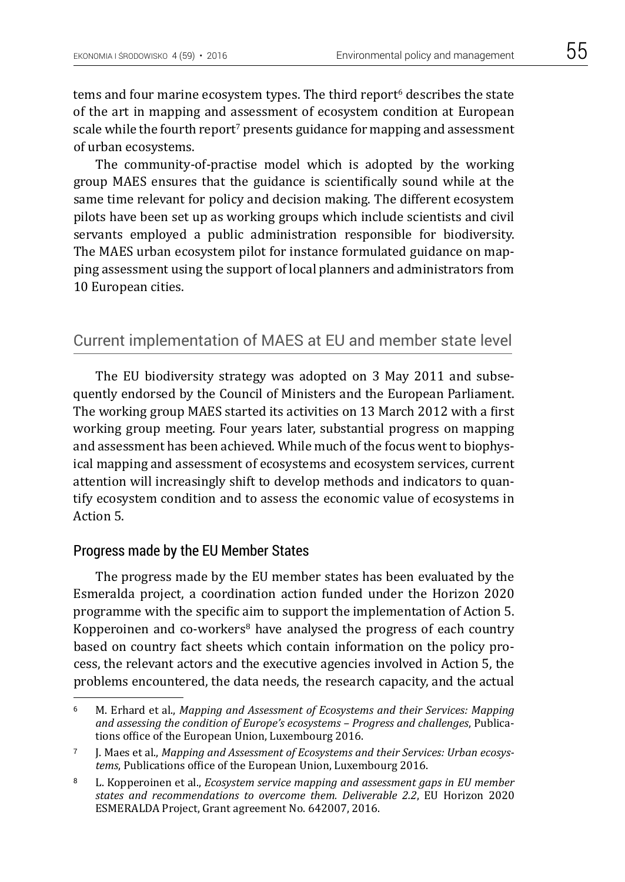tems and four marine ecosystem types. The third report<sup>6</sup> describes the state of the art in mapping and assessment of ecosystem condition at European scale while the fourth report<sup>7</sup> presents guidance for mapping and assessment of urban ecosystems.

The community-of-practise model which is adopted by the working group MAES ensures that the guidance is scientifically sound while at the same time relevant for policy and decision making. The different ecosystem pilots have been set up as working groups which include scientists and civil servants employed a public administration responsible for biodiversity. The MAES urban ecosystem pilot for instance formulated guidance on mapping assessment using the support of local planners and administrators from 10 European cities.

## Current implementation of MAES at EU and member state level

The EU biodiversity strategy was adopted on 3 May 2011 and subsequently endorsed by the Council of Ministers and the European Parliament. The working group MAES started its activities on 13 March 2012 with a first working group meeting. Four years later, substantial progress on mapping and assessment has been achieved. While much of the focus went to biophysical mapping and assessment of ecosystems and ecosystem services, current attention will increasingly shift to develop methods and indicators to quantify ecosystem condition and to assess the economic value of ecosystems in Action 5.

#### Progress made by the EU Member States

The progress made by the EU member states has been evaluated by the Esmeralda project, a coordination action funded under the Horizon 2020 programme with the specific aim to support the implementation of Action 5. Kopperoinen and co-workers $8$  have analysed the progress of each country based on country fact sheets which contain information on the policy process, the relevant actors and the executive agencies involved in Action 5, the problems encountered, the data needs, the research capacity, and the actual

<sup>6</sup> M. Erhard et al., *Mapping and Assessment of Ecosystems and their Services: Mapping and assessing the condition of Europe's ecosystems – Progress and challenges*, Publications office of the European Union, Luxembourg 2016.

<sup>7</sup> J. Maes et al., *Mapping and Assessment of Ecosystems and their Services: Urban ecosystems*, Publications office of the European Union, Luxembourg 2016.

<sup>8</sup> L. Kopperoinen et al., *Ecosystem service mapping and assessment gaps in EU member states and recommendations to overcome them. Deliverable 2.2*, EU Horizon 2020 ESMERALDA Project, Grant agreement No. 642007, 2016.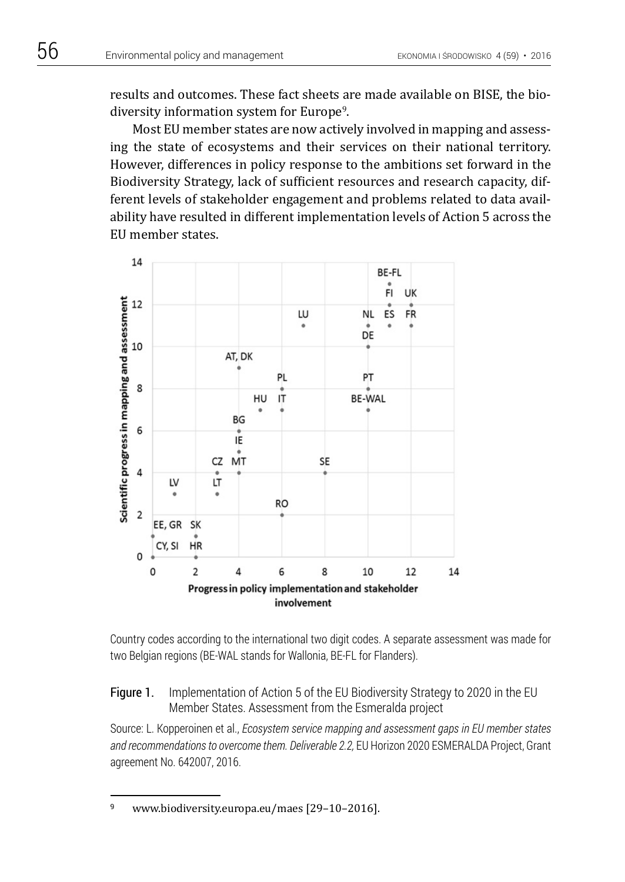results and outcomes. These fact sheets are made available on BISE, the biodiversity information system for Europe<sup>9</sup>.

Most EU member states are now actively involved in mapping and assessing the state of ecosystems and their services on their national territory. However, differences in policy response to the ambitions set forward in the Biodiversity Strategy, lack of sufficient resources and research capacity, different levels of stakeholder engagement and problems related to data availability have resulted in different implementation levels of Action 5 across the EU member states.



Country codes according to the international two digit codes. A separate assessment was made for two Belgian regions (BE-WAL stands for Wallonia, BE-FL for Flanders).

### Figure 1. Implementation of Action 5 of the EU Biodiversity Strategy to 2020 in the EU Member States. Assessment from the Esmeralda project

Source: L. Kopperoinen et al., *Ecosystem service mapping and assessment gaps in EU member states*  and recommendations to overcome them. Deliverable 2.2, EU Horizon 2020 ESMERALDA Project, Grant agreement No. 642007, 2016.

<sup>9</sup> www.biodiversity.europa.eu/maes [29–10–2016].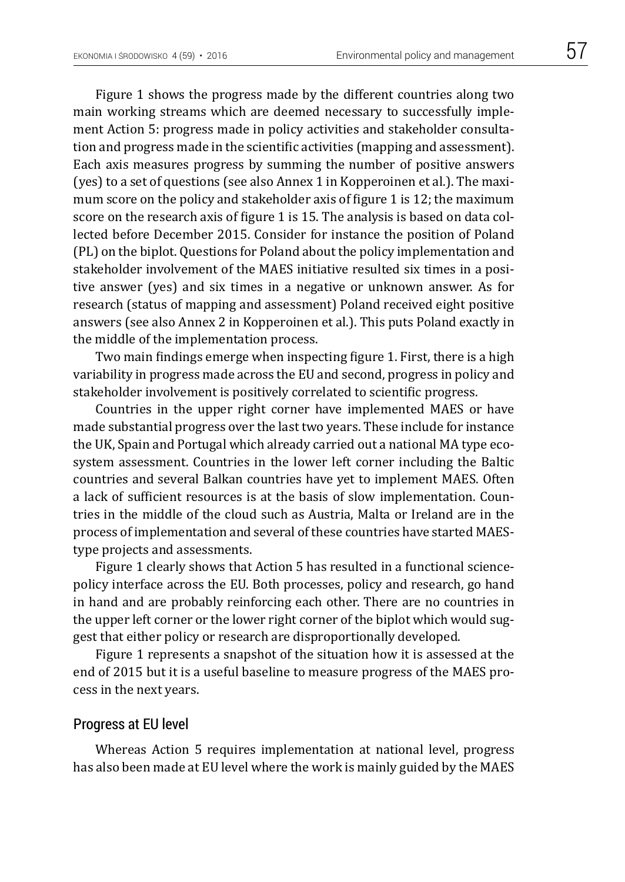Figure 1 shows the progress made by the different countries along two main working streams which are deemed necessary to successfully implement Action 5: progress made in policy activities and stakeholder consultation and progress made in the scientific activities (mapping and assessment). Each axis measures progress by summing the number of positive answers (yes) to a set of questions (see also Annex 1 in Kopperoinen et al.). The maximum score on the policy and stakeholder axis of figure 1 is 12; the maximum score on the research axis of figure 1 is 15. The analysis is based on data collected before December 2015. Consider for instance the position of Poland (PL) on the biplot. Questions for Poland about the policy implementation and stakeholder involvement of the MAES initiative resulted six times in a positive answer (yes) and six times in a negative or unknown answer. As for research (status of mapping and assessment) Poland received eight positive answers (see also Annex 2 in Kopperoinen et al.). This puts Poland exactly in the middle of the implementation process.

Two main findings emerge when inspecting figure 1. First, there is a high variability in progress made across the EU and second, progress in policy and stakeholder involvement is positively correlated to scientific progress.

Countries in the upper right corner have implemented MAES or have made substantial progress over the last two years. These include for instance the UK, Spain and Portugal which already carried out a national MA type ecosystem assessment. Countries in the lower left corner including the Baltic countries and several Balkan countries have yet to implement MAES. Often a lack of sufficient resources is at the basis of slow implementation. Countries in the middle of the cloud such as Austria, Malta or Ireland are in the process of implementation and several of these countries have started MAEStype projects and assessments.

Figure 1 clearly shows that Action 5 has resulted in a functional sciencepolicy interface across the EU. Both processes, policy and research, go hand in hand and are probably reinforcing each other. There are no countries in the upper left corner or the lower right corner of the biplot which would suggest that either policy or research are disproportionally developed.

Figure 1 represents a snapshot of the situation how it is assessed at the end of 2015 but it is a useful baseline to measure progress of the MAES process in the next years.

#### Progress at EU level

Whereas Action 5 requires implementation at national level, progress has also been made at EU level where the work is mainly guided by the MAES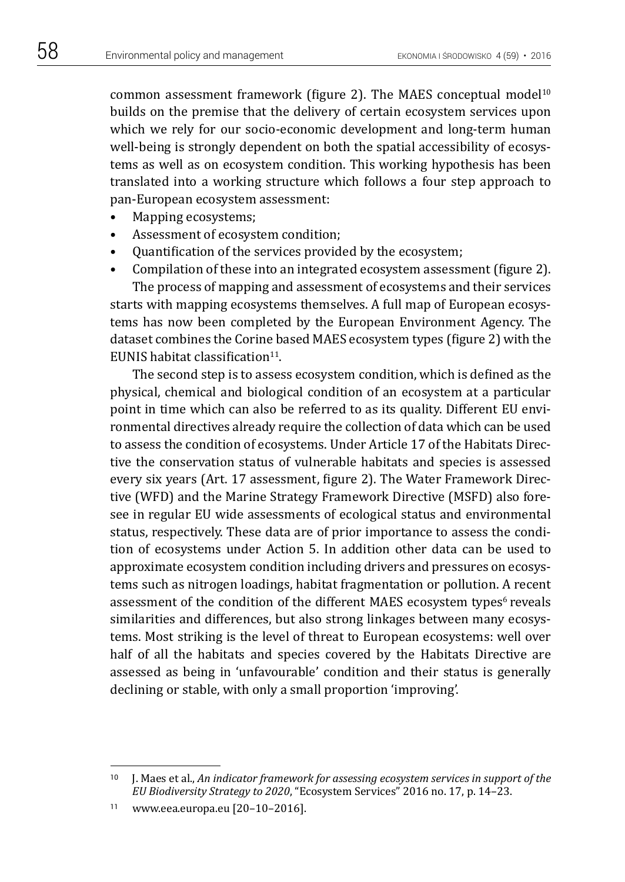common assessment framework (figure 2). The MAES conceptual model<sup>10</sup> builds on the premise that the delivery of certain ecosystem services upon which we rely for our socio-economic development and long-term human well-being is strongly dependent on both the spatial accessibility of ecosystems as well as on ecosystem condition. This working hypothesis has been translated into a working structure which follows a four step approach to pan-European ecosystem assessment:

- Mapping ecosystems;
- Assessment of ecosystem condition;
- Quantification of the services provided by the ecosystem;
- Compilation of these into an integrated ecosystem assessment (figure 2). The process of mapping and assessment of ecosystems and their services

starts with mapping ecosystems themselves. A full map of European ecosystems has now been completed by the European Environment Agency. The dataset combines the Corine based MAES ecosystem types (figure 2) with the EUNIS habitat classification $11$ .

The second step is to assess ecosystem condition, which is defined as the physical, chemical and biological condition of an ecosystem at a particular point in time which can also be referred to as its quality. Different EU environmental directives already require the collection of data which can be used to assess the condition of ecosystems. Under Article 17 of the Habitats Directive the conservation status of vulnerable habitats and species is assessed every six years (Art. 17 assessment, figure 2). The Water Framework Directive (WFD) and the Marine Strategy Framework Directive (MSFD) also foresee in regular EU wide assessments of ecological status and environmental status, respectively. These data are of prior importance to assess the condition of ecosystems under Action 5. In addition other data can be used to approximate ecosystem condition including drivers and pressures on ecosystems such as nitrogen loadings, habitat fragmentation or pollution. A recent assessment of the condition of the different MAES ecosystem types<sup>6</sup> reveals similarities and differences, but also strong linkages between many ecosystems. Most striking is the level of threat to European ecosystems: well over half of all the habitats and species covered by the Habitats Directive are assessed as being in 'unfavourable' condition and their status is generally declining or stable, with only a small proportion 'improving'.

<sup>10</sup> J. Maes et al., *An indicator framework for assessing ecosystem services in support of the EU Biodiversity Strategy to 2020*, "Ecosystem Services" 2016 no. 17, p. 14–23.

<sup>11</sup> www.eea.europa.eu [20–10–2016].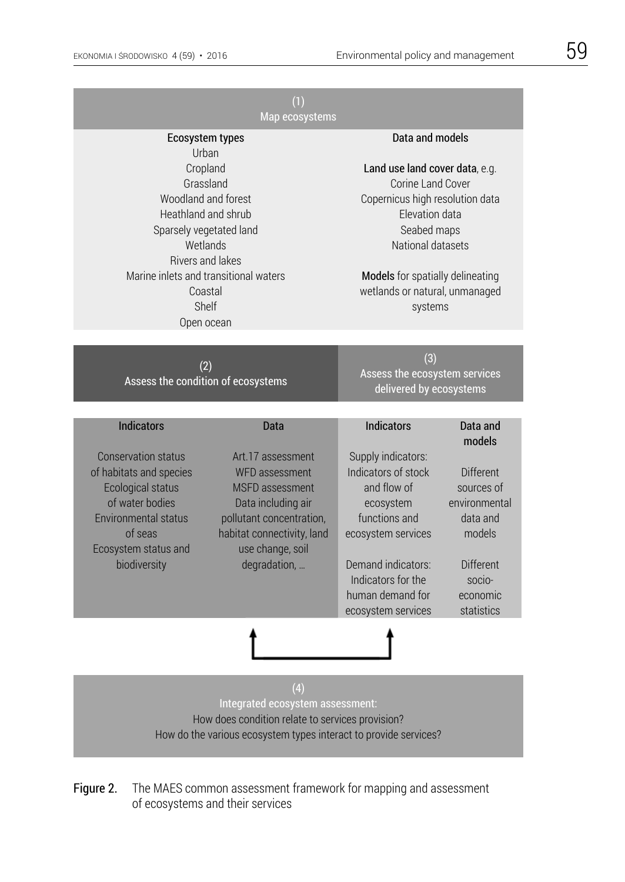| (1)<br>Map ecosystems                                                                                                                                                                                                                        |                                                                                                                                                                                   |                                                                                                                                                                                                                                                  |                                                                                                                        |
|----------------------------------------------------------------------------------------------------------------------------------------------------------------------------------------------------------------------------------------------|-----------------------------------------------------------------------------------------------------------------------------------------------------------------------------------|--------------------------------------------------------------------------------------------------------------------------------------------------------------------------------------------------------------------------------------------------|------------------------------------------------------------------------------------------------------------------------|
| Ecosystem types<br>Urban<br>Cropland<br>Grassland<br>Woodland and forest<br>Heathland and shrub<br>Sparsely vegetated land<br>Wetlands<br><b>Rivers and lakes</b><br>Marine inlets and transitional waters<br>Coastal<br>Shelf<br>Open ocean |                                                                                                                                                                                   | Data and models<br>Land use land cover data, e.g.<br>Corine Land Cover<br>Copernicus high resolution data<br>Elevation data<br>Seabed maps<br>National datasets<br>Models for spatially delineating<br>wetlands or natural, unmanaged<br>systems |                                                                                                                        |
| (2)<br>Assess the condition of ecosystems                                                                                                                                                                                                    |                                                                                                                                                                                   | (3)<br>Assess the ecosystem services<br>delivered by ecosystems                                                                                                                                                                                  |                                                                                                                        |
| <b>Indicators</b>                                                                                                                                                                                                                            | Data                                                                                                                                                                              | <b>Indicators</b>                                                                                                                                                                                                                                | Data and<br>models                                                                                                     |
| <b>Conservation status</b><br>of habitats and species<br><b>Ecological status</b><br>of water bodies<br>Environmental status<br>of seas<br>Ecosystem status and<br>biodiversity                                                              | Art.17 assessment<br>WFD assessment<br><b>MSFD</b> assessment<br>Data including air<br>pollutant concentration,<br>habitat connectivity, land<br>use change, soil<br>degradation, | Supply indicators:<br>Indicators of stock<br>and flow of<br>ecosystem<br>functions and<br>ecosystem services<br>Demand indicators:<br>Indicators for the<br>human demand for<br>ecosystem services                                               | <b>Different</b><br>sources of<br>environmental<br>data and<br>models<br>Different<br>socio-<br>economic<br>statistics |
|                                                                                                                                                                                                                                              |                                                                                                                                                                                   |                                                                                                                                                                                                                                                  |                                                                                                                        |
| (4)<br>Integrated ecosystem assessment:<br>How does condition relate to services provision?<br>How do the various ecosystem types interact to provide services?                                                                              |                                                                                                                                                                                   |                                                                                                                                                                                                                                                  |                                                                                                                        |

Figure 2. The MAES common assessment framework for mapping and assessment of ecosystems and their services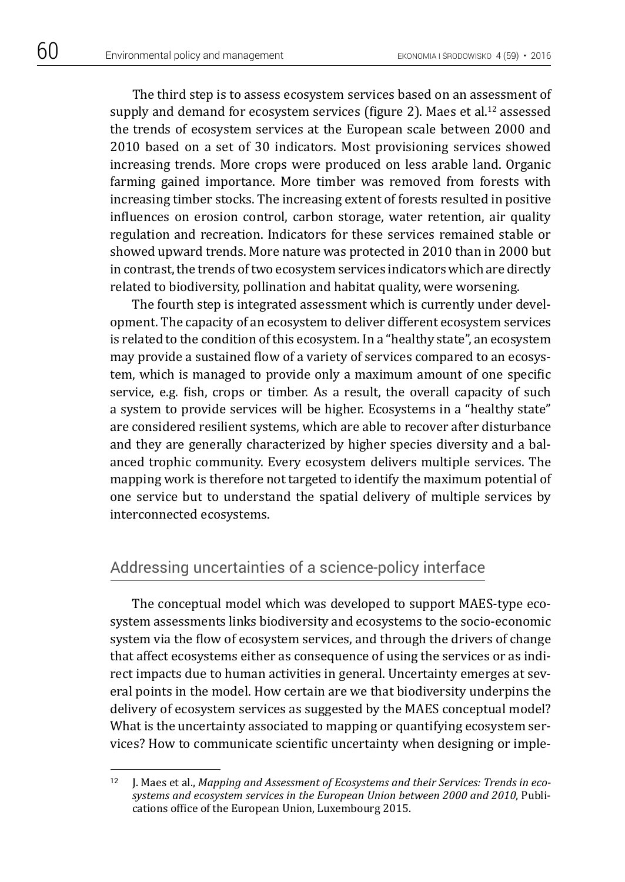The third step is to assess ecosystem services based on an assessment of supply and demand for ecosystem services (figure 2). Maes et al.<sup>12</sup> assessed the trends of ecosystem services at the European scale between 2000 and 2010 based on a set of 30 indicators. Most provisioning services showed increasing trends. More crops were produced on less arable land. Organic farming gained importance. More timber was removed from forests with increasing timber stocks. The increasing extent of forests resulted in positive influences on erosion control, carbon storage, water retention, air quality regulation and recreation. Indicators for these services remained stable or showed upward trends. More nature was protected in 2010 than in 2000 but in contrast, the trends of two ecosystem services indicators which are directly related to biodiversity, pollination and habitat quality, were worsening.

The fourth step is integrated assessment which is currently under development. The capacity of an ecosystem to deliver different ecosystem services is related to the condition of this ecosystem. In a "healthy state", an ecosystem may provide a sustained flow of a variety of services compared to an ecosystem, which is managed to provide only a maximum amount of one specific service, e.g. fish, crops or timber. As a result, the overall capacity of such a system to provide services will be higher. Ecosystems in a "healthy state" are considered resilient systems, which are able to recover after disturbance and they are generally characterized by higher species diversity and a balanced trophic community. Every ecosystem delivers multiple services. The mapping work is therefore not targeted to identify the maximum potential of one service but to understand the spatial delivery of multiple services by interconnected ecosystems.

## Addressing uncertainties of a science-policy interface

The conceptual model which was developed to support MAES-type ecosystem assessments links biodiversity and ecosystems to the socio-economic system via the flow of ecosystem services, and through the drivers of change that affect ecosystems either as consequence of using the services or as indirect impacts due to human activities in general. Uncertainty emerges at several points in the model. How certain are we that biodiversity underpins the delivery of ecosystem services as suggested by the MAES conceptual model? What is the uncertainty associated to mapping or quantifying ecosystem services? How to communicate scientific uncertainty when designing or imple-

<sup>&</sup>lt;sup>12</sup> J. Maes et al., *Mapping and Assessment of Ecosystems and their Services: Trends in ecosystems and ecosystem services in the European Union between 2000 and 2010*, Publications office of the European Union, Luxembourg 2015.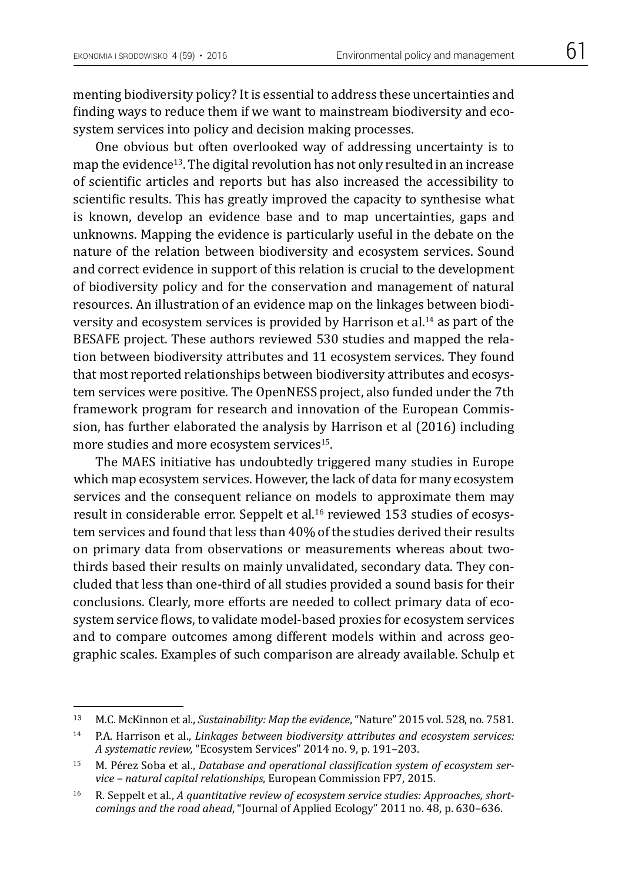menting biodiversity policy? It is essential to address these uncertainties and finding ways to reduce them if we want to mainstream biodiversity and ecosystem services into policy and decision making processes.

One obvious but often overlooked way of addressing uncertainty is to map the evidence13. The digital revolution has not only resulted in an increase of scientific articles and reports but has also increased the accessibility to scientific results. This has greatly improved the capacity to synthesise what is known, develop an evidence base and to map uncertainties, gaps and unknowns. Mapping the evidence is particularly useful in the debate on the nature of the relation between biodiversity and ecosystem services. Sound and correct evidence in support of this relation is crucial to the development of biodiversity policy and for the conservation and management of natural resources. An illustration of an evidence map on the linkages between biodiversity and ecosystem services is provided by Harrison et al.14 as part of the BESAFE project. These authors reviewed 530 studies and mapped the relation between biodiversity attributes and 11 ecosystem services. They found that most reported relationships between biodiversity attributes and ecosystem services were positive. The OpenNESS project, also funded under the 7th framework program for research and innovation of the European Commission, has further elaborated the analysis by Harrison et al (2016) including more studies and more ecosystem services<sup>15</sup>.

The MAES initiative has undoubtedly triggered many studies in Europe which map ecosystem services. However, the lack of data for many ecosystem services and the consequent reliance on models to approximate them may result in considerable error. Seppelt et al.<sup>16</sup> reviewed 153 studies of ecosystem services and found that less than 40% of the studies derived their results on primary data from observations or measurements whereas about twothirds based their results on mainly unvalidated, secondary data. They concluded that less than one-third of all studies provided a sound basis for their conclusions. Clearly, more efforts are needed to collect primary data of ecosystem service flows, to validate model-based proxies for ecosystem services and to compare outcomes among different models within and across geographic scales. Examples of such comparison are already available. Schulp et

<sup>13</sup> M.C. McKinnon et al., *Sustainability: Map the evidence*, "Nature" 2015 vol. 528, no. 7581.

<sup>14</sup> P.A. Harrison et al., *Linkages between biodiversity attributes and ecosystem services: A systematic review,* "Ecosystem Services" 2014 no. 9, p. 191–203.

<sup>15</sup> M. Pérez Soba et al., *Database and operational classification system of ecosystem service – natural capital relationships*, European Commission FP7, 2015.

<sup>16</sup> R. Seppelt et al., *A quantitative review of ecosystem service studies: Approaches, shortcomings and the road ahead*, "Journal of Applied Ecology" 2011 no. 48, p. 630–636.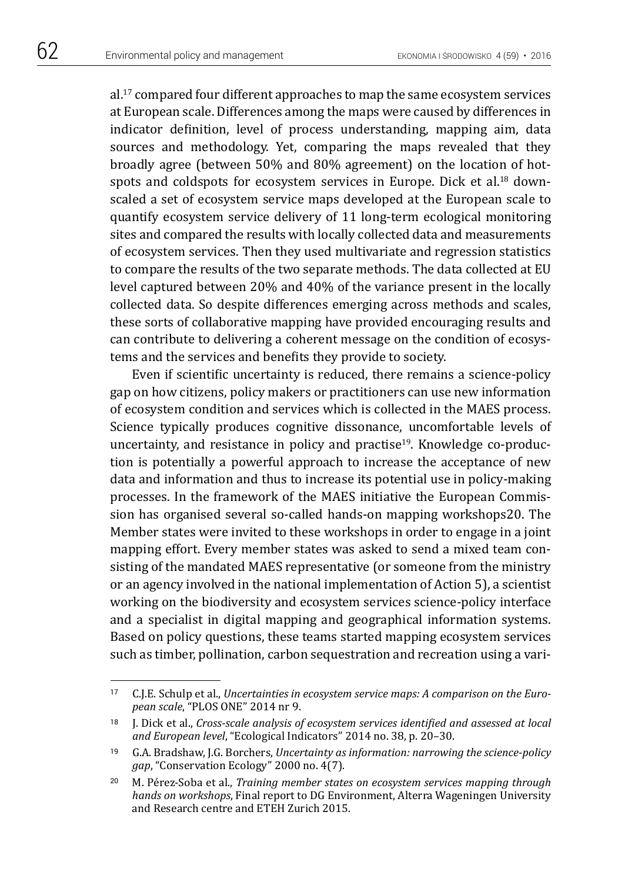al.17 compared four different approaches to map the same ecosystem services at European scale. Differences among the maps were caused by differences in indicator definition, level of process understanding, mapping aim, data sources and methodology. Yet, comparing the maps revealed that they broadly agree (between 50% and 80% agreement) on the location of hotspots and coldspots for ecosystem services in Europe. Dick et al.<sup>18</sup> downscaled a set of ecosystem service maps developed at the European scale to quantify ecosystem service delivery of 11 long-term ecological monitoring sites and compared the results with locally collected data and measurements of ecosystem services. Then they used multivariate and regression statistics to compare the results of the two separate methods. The data collected at EU level captured between 20% and 40% of the variance present in the locally collected data. So despite differences emerging across methods and scales, these sorts of collaborative mapping have provided encouraging results and can contribute to delivering a coherent message on the condition of ecosystems and the services and benefits they provide to society.

Even if scientific uncertainty is reduced, there remains a science-policy gap on how citizens, policy makers or practitioners can use new information of ecosystem condition and services which is collected in the MAES process. Science typically produces cognitive dissonance, uncomfortable levels of uncertainty, and resistance in policy and practise<sup>19</sup>. Knowledge co-production is potentially a powerful approach to increase the acceptance of new data and information and thus to increase its potential use in policy-making processes. In the framework of the MAES initiative the European Commission has organised several so-called hands-on mapping workshops20. The Member states were invited to these workshops in order to engage in a joint mapping effort. Every member states was asked to send a mixed team consisting of the mandated MAES representative (or someone from the ministry or an agency involved in the national implementation of Action 5), a scientist working on the biodiversity and ecosystem services science-policy interface and a specialist in digital mapping and geographical information systems. Based on policy questions, these teams started mapping ecosystem services such as timber, pollination, carbon sequestration and recreation using a vari-

<sup>17</sup> C.J.E. Schulp et al., *Uncertainties in ecosystem service maps: A comparison on the European scale*, "PLOS ONE" 2014 nr 9.

<sup>18</sup> J. Dick et al., *Cross-scale analysis of ecosystem services identified and assessed at local and European level*, "Ecological Indicators" 2014 no. 38, p. 20–30.

<sup>19</sup> G.A. Bradshaw, J.G. Borchers, *Uncertainty as information: narrowing the science-policy gap*, "Conservation Ecology" 2000 no. 4(7).

<sup>20</sup> M. Pérez-Soba et al., *Training member states on ecosystem services mapping through hands on workshops*, Final report to DG Environment, Alterra Wageningen University and Research centre and ETEH Zurich 2015.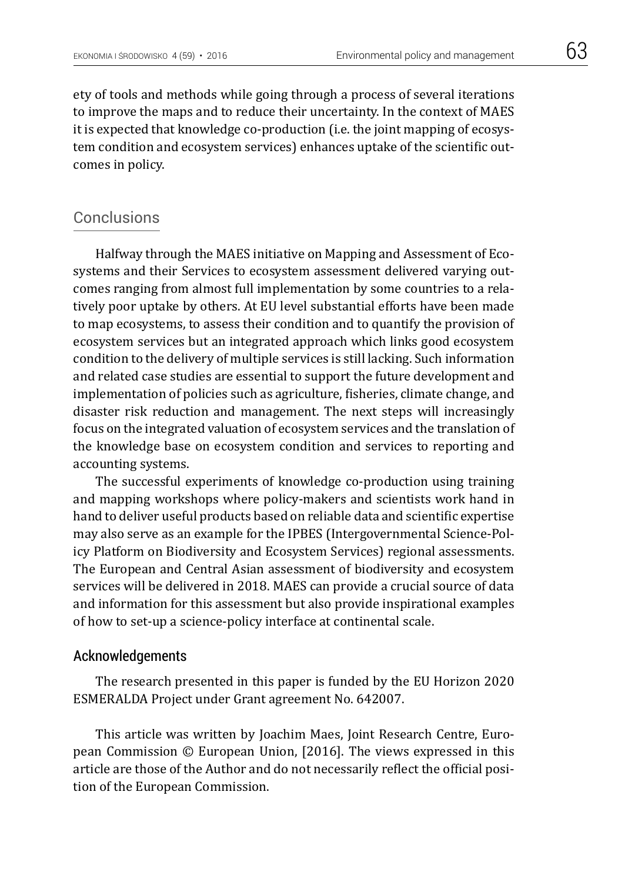ety of tools and methods while going through a process of several iterations to improve the maps and to reduce their uncertainty. In the context of MAES it is expected that knowledge co-production (i.e. the joint mapping of ecosystem condition and ecosystem services) enhances uptake of the scientific outcomes in policy.

## **Conclusions**

Halfway through the MAES initiative on Mapping and Assessment of Ecosystems and their Services to ecosystem assessment delivered varying outcomes ranging from almost full implementation by some countries to a relatively poor uptake by others. At EU level substantial efforts have been made to map ecosystems, to assess their condition and to quantify the provision of ecosystem services but an integrated approach which links good ecosystem condition to the delivery of multiple services is still lacking. Such information and related case studies are essential to support the future development and implementation of policies such as agriculture, fisheries, climate change, and disaster risk reduction and management. The next steps will increasingly focus on the integrated valuation of ecosystem services and the translation of the knowledge base on ecosystem condition and services to reporting and accounting systems.

The successful experiments of knowledge co-production using training and mapping workshops where policy-makers and scientists work hand in hand to deliver useful products based on reliable data and scientific expertise may also serve as an example for the IPBES (Intergovernmental Science-Policy Platform on Biodiversity and Ecosystem Services) regional assessments. The European and Central Asian assessment of biodiversity and ecosystem services will be delivered in 2018. MAES can provide a crucial source of data and information for this assessment but also provide inspirational examples of how to set-up a science-policy interface at continental scale.

## Acknowledgements

The research presented in this paper is funded by the EU Horizon 2020 ESMERALDA Project under Grant agreement No. 642007.

This article was written by Joachim Maes, Joint Research Centre, European Commission © European Union, [2016]. The views expressed in this article are those of the Author and do not necessarily reflect the official position of the European Commission.